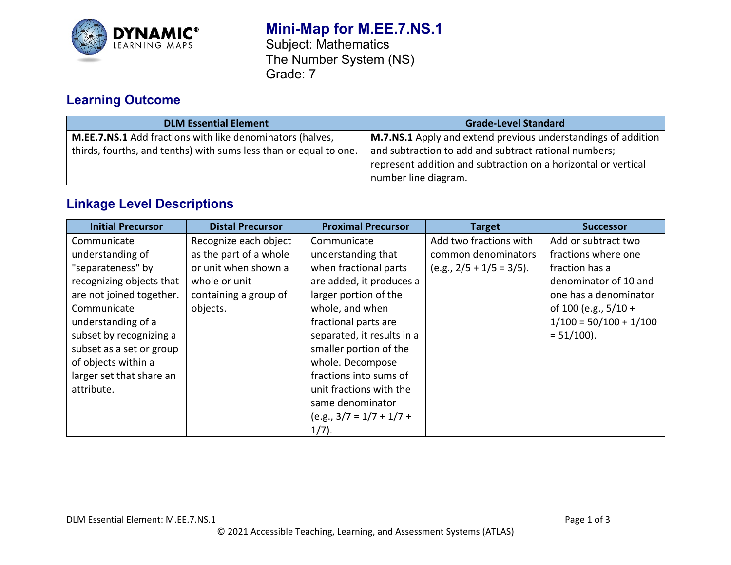

# **Mini-Map for M.EE.7.NS.1** Subject: Mathematics The Number System (NS)

Grade: 7

# **Learning Outcome**

| <b>DLM Essential Element</b>                                                                                                   | <b>Grade-Level Standard</b>                                                                                                                                                              |
|--------------------------------------------------------------------------------------------------------------------------------|------------------------------------------------------------------------------------------------------------------------------------------------------------------------------------------|
| M.EE.7.NS.1 Add fractions with like denominators (halves,<br>thirds, fourths, and tenths) with sums less than or equal to one. | M.7.NS.1 Apply and extend previous understandings of addition<br>and subtraction to add and subtract rational numbers;<br>represent addition and subtraction on a horizontal or vertical |
|                                                                                                                                | number line diagram.                                                                                                                                                                     |

# **Linkage Level Descriptions**

| <b>Initial Precursor</b> | <b>Distal Precursor</b> | <b>Proximal Precursor</b>  | <b>Target</b>              | <b>Successor</b>         |
|--------------------------|-------------------------|----------------------------|----------------------------|--------------------------|
| Communicate              | Recognize each object   | Communicate                | Add two fractions with     | Add or subtract two      |
| understanding of         | as the part of a whole  | understanding that         | common denominators        | fractions where one      |
| "separateness" by        | or unit when shown a    | when fractional parts      | $(e.g., 2/5 + 1/5 = 3/5).$ | fraction has a           |
| recognizing objects that | whole or unit           | are added, it produces a   |                            | denominator of 10 and    |
| are not joined together. | containing a group of   | larger portion of the      |                            | one has a denominator    |
| Communicate              | objects.                | whole, and when            |                            | of 100 (e.g., $5/10 +$   |
| understanding of a       |                         | fractional parts are       |                            | $1/100 = 50/100 + 1/100$ |
| subset by recognizing a  |                         | separated, it results in a |                            | $= 51/100$ ).            |
| subset as a set or group |                         | smaller portion of the     |                            |                          |
| of objects within a      |                         | whole. Decompose           |                            |                          |
| larger set that share an |                         | fractions into sums of     |                            |                          |
| attribute.               |                         | unit fractions with the    |                            |                          |
|                          |                         | same denominator           |                            |                          |
|                          |                         | $(e.g., 3/7 = 1/7 + 1/7 +$ |                            |                          |
|                          |                         | $1/7$ ).                   |                            |                          |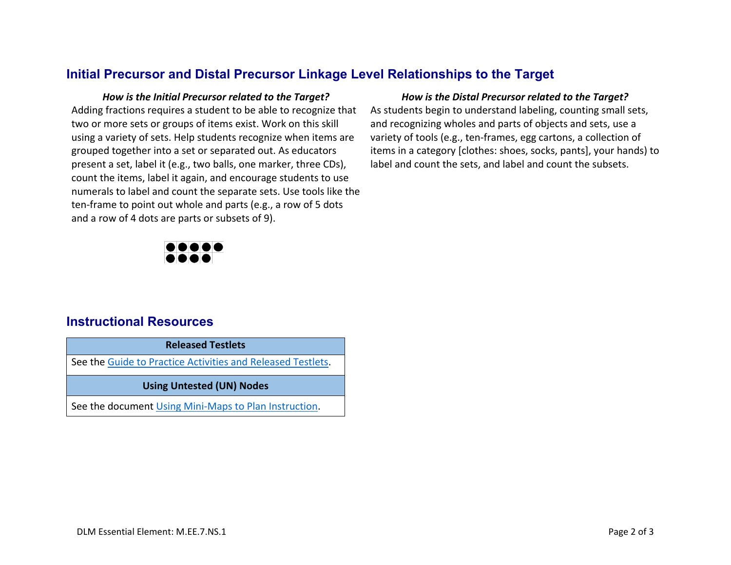## **Initial Precursor and Distal Precursor Linkage Level Relationships to the Target**

Adding fractions requires a student to be able to recognize that two or more sets or groups of items exist. Work on this skill using a variety of sets. Help students recognize when items are grouped together into a set or separated out. As educators present a set, label it (e.g., two balls, one marker, three CDs), count the items, label it again, and encourage students to use numerals to label and count the separate sets. Use tools like the ten-frame to point out whole and parts (e.g., a row of 5 dots and a row of 4 dots are parts or subsets of 9).

### *How is the Initial Precursor related to the Target? How is the Distal Precursor related to the Target?*

As students begin to understand labeling, counting small sets, and recognizing wholes and parts of objects and sets, use a variety of tools (e.g., ten-frames, egg cartons, a collection of items in a category [clothes: shoes, socks, pants], your hands) to label and count the sets, and label and count the subsets.



### **Instructional Resources**

**Released Testlets**

See the [Guide to Practice Activities and Released Testlets.](https://dynamiclearningmaps.org/sites/default/files/documents/Manuals_Blueprints/Guide_to_Practice_Activities_and_Released_Testlets.pdf)

### **Using Untested (UN) Nodes**

See the document [Using Mini-Maps to Plan Instruction.](https://dynamiclearningmaps.org/sites/default/files/documents/Using_Mini_Maps_to_Plan_Instruction.pdf)